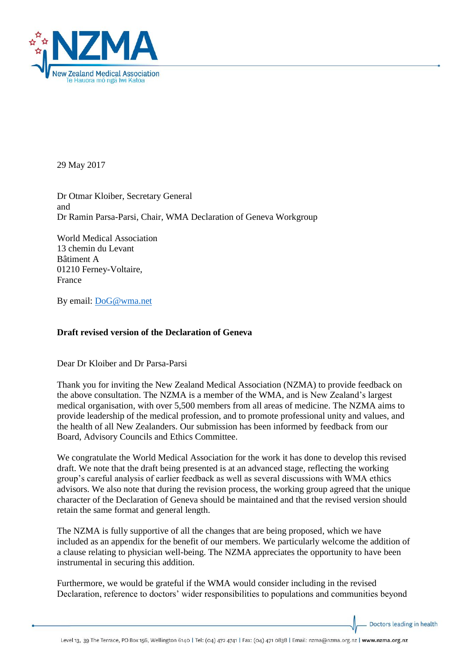

29 May 2017

Dr Otmar Kloiber, Secretary General and Dr Ramin Parsa-Parsi, Chair, WMA Declaration of Geneva Workgroup

World Medical Association 13 chemin du Levant Bâtiment A 01210 Ferney-Voltaire, France

By email: [DoG@wma.net](mailto:DoG@wma.net)

## **Draft revised version of the Declaration of Geneva**

Dear Dr Kloiber and Dr Parsa-Parsi

Thank you for inviting the New Zealand Medical Association (NZMA) to provide feedback on the above consultation. The NZMA is a member of the WMA, and is New Zealand's largest medical organisation, with over 5,500 members from all areas of medicine. The NZMA aims to provide leadership of the medical profession, and to promote professional unity and values, and the health of all New Zealanders. Our submission has been informed by feedback from our Board, Advisory Councils and Ethics Committee.

We congratulate the World Medical Association for the work it has done to develop this revised draft. We note that the draft being presented is at an advanced stage, reflecting the working group's careful analysis of earlier feedback as well as several discussions with WMA ethics advisors. We also note that during the revision process, the working group agreed that the unique character of the Declaration of Geneva should be maintained and that the revised version should retain the same format and general length.

The NZMA is fully supportive of all the changes that are being proposed, which we have included as an appendix for the benefit of our members. We particularly welcome the addition of a clause relating to physician well-being. The NZMA appreciates the opportunity to have been instrumental in securing this addition.

Furthermore, we would be grateful if the WMA would consider including in the revised Declaration, reference to doctors' wider responsibilities to populations and communities beyond

Doctors leading in health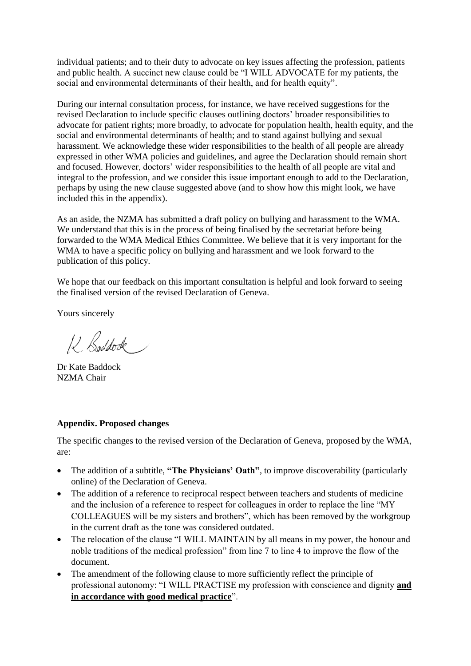individual patients; and to their duty to advocate on key issues affecting the profession, patients and public health. A succinct new clause could be "I WILL ADVOCATE for my patients, the social and environmental determinants of their health, and for health equity".

During our internal consultation process, for instance, we have received suggestions for the revised Declaration to include specific clauses outlining doctors' broader responsibilities to advocate for patient rights; more broadly, to advocate for population health, health equity, and the social and environmental determinants of health; and to stand against bullying and sexual harassment. We acknowledge these wider responsibilities to the health of all people are already expressed in other WMA policies and guidelines, and agree the Declaration should remain short and focused. However, doctors' wider responsibilities to the health of all people are vital and integral to the profession, and we consider this issue important enough to add to the Declaration, perhaps by using the new clause suggested above (and to show how this might look, we have included this in the appendix).

As an aside, the NZMA has submitted a draft policy on bullying and harassment to the WMA. We understand that this is in the process of being finalised by the secretariat before being forwarded to the WMA Medical Ethics Committee. We believe that it is very important for the WMA to have a specific policy on bullying and harassment and we look forward to the publication of this policy.

We hope that our feedback on this important consultation is helpful and look forward to seeing the finalised version of the revised Declaration of Geneva.

Yours sincerely

12 Boddock

Dr Kate Baddock NZMA Chair

## **Appendix. Proposed changes**

The specific changes to the revised version of the Declaration of Geneva, proposed by the WMA, are:

- The addition of a subtitle, "The Physicians' Oath", to improve discoverability (particularly online) of the Declaration of Geneva.
- The addition of a reference to reciprocal respect between teachers and students of medicine and the inclusion of a reference to respect for colleagues in order to replace the line "MY COLLEAGUES will be my sisters and brothers", which has been removed by the workgroup in the current draft as the tone was considered outdated.
- The relocation of the clause "I WILL MAINTAIN by all means in my power, the honour and noble traditions of the medical profession" from line 7 to line 4 to improve the flow of the document.
- The amendment of the following clause to more sufficiently reflect the principle of professional autonomy: "I WILL PRACTISE my profession with conscience and dignity **and in accordance with good medical practice**".